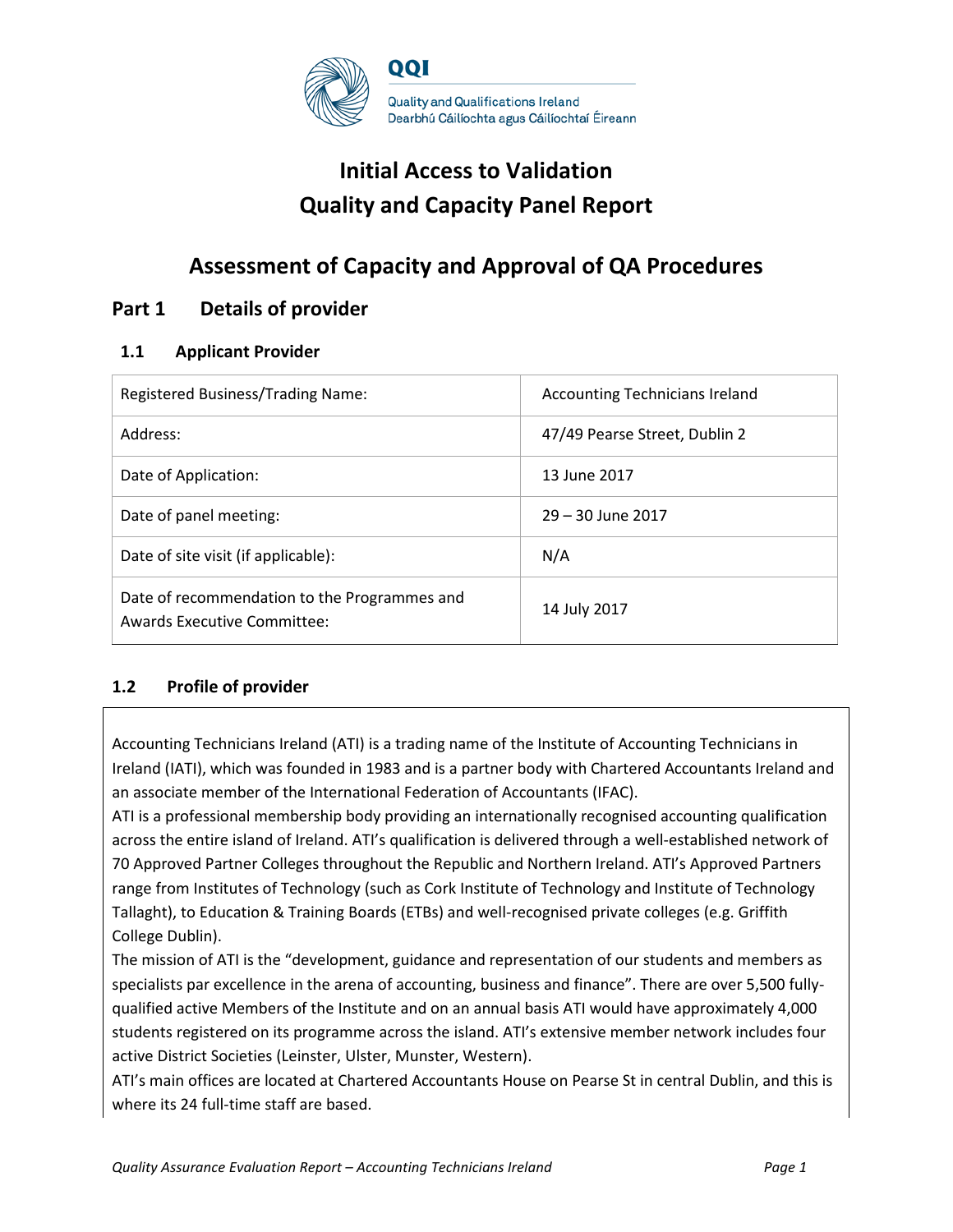

# **Initial Access to Validation Quality and Capacity Panel Report**

# **Assessment of Capacity and Approval of QA Procedures**

### **Part 1 Details of provider**

### **1.1 Applicant Provider**

| Registered Business/Trading Name:                                                  | <b>Accounting Technicians Ireland</b> |
|------------------------------------------------------------------------------------|---------------------------------------|
| Address:                                                                           | 47/49 Pearse Street, Dublin 2         |
| Date of Application:                                                               | 13 June 2017                          |
| Date of panel meeting:                                                             | 29 – 30 June 2017                     |
| Date of site visit (if applicable):                                                | N/A                                   |
| Date of recommendation to the Programmes and<br><b>Awards Executive Committee:</b> | 14 July 2017                          |

### **1.2 Profile of provider**

Accounting Technicians Ireland (ATI) is a trading name of the Institute of Accounting Technicians in Ireland (IATI), which was founded in 1983 and is a partner body with Chartered Accountants Ireland and an associate member of the International Federation of Accountants (IFAC).

ATI is a professional membership body providing an internationally recognised accounting qualification across the entire island of Ireland. ATI's qualification is delivered through a well-established network of 70 Approved Partner Colleges throughout the Republic and Northern Ireland. ATI's Approved Partners range from Institutes of Technology (such as Cork Institute of Technology and Institute of Technology Tallaght), to Education & Training Boards (ETBs) and well-recognised private colleges (e.g. Griffith College Dublin).

The mission of ATI is the "development, guidance and representation of our students and members as specialists par excellence in the arena of accounting, business and finance". There are over 5,500 fullyqualified active Members of the Institute and on an annual basis ATI would have approximately 4,000 students registered on its programme across the island. ATI's extensive member network includes four active District Societies (Leinster, Ulster, Munster, Western).

ATI's main offices are located at Chartered Accountants House on Pearse St in central Dublin, and this is where its 24 full-time staff are based.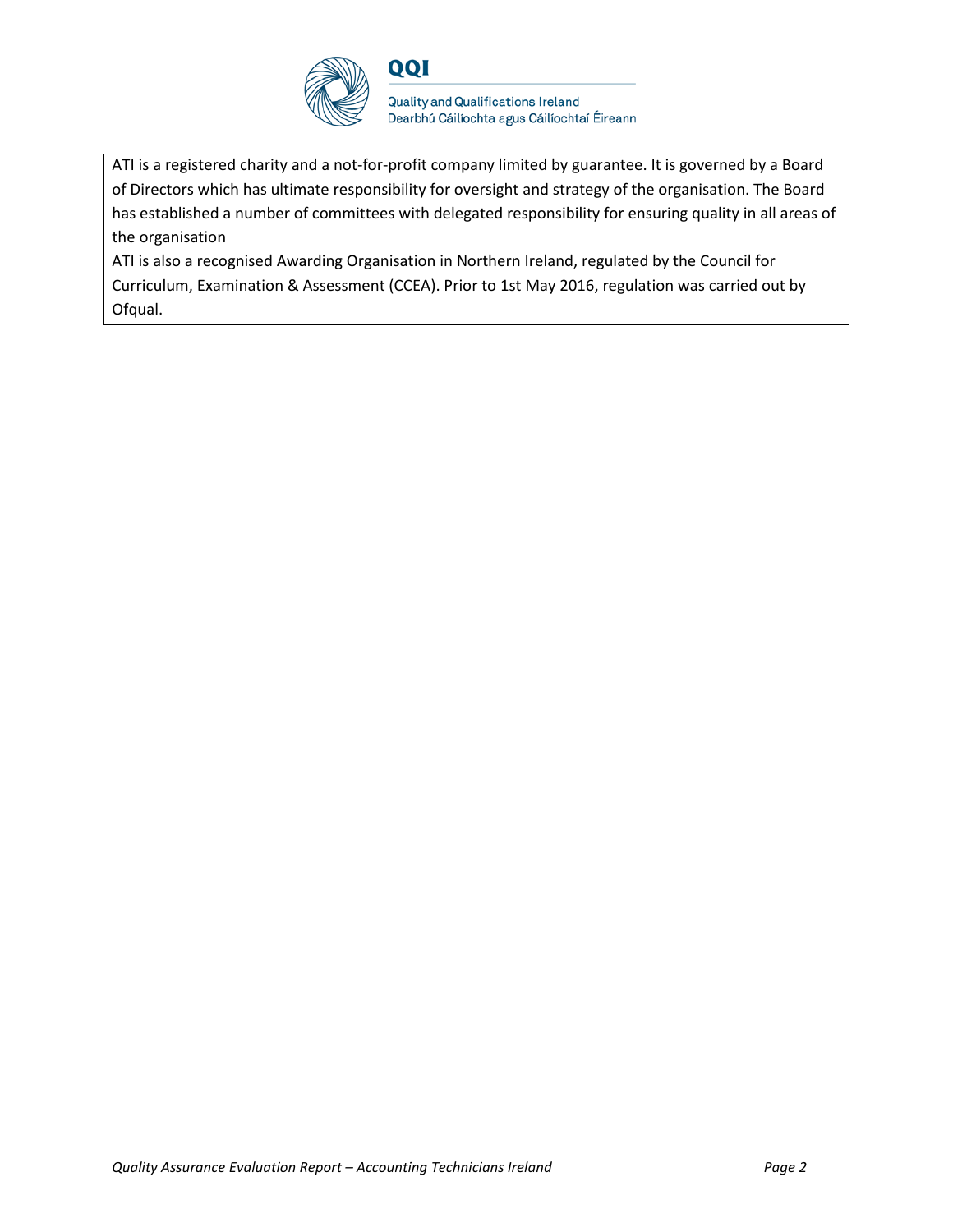

ATI is a registered charity and a not-for-profit company limited by guarantee. It is governed by a Board of Directors which has ultimate responsibility for oversight and strategy of the organisation. The Board has established a number of committees with delegated responsibility for ensuring quality in all areas of the organisation

ATI is also a recognised Awarding Organisation in Northern Ireland, regulated by the Council for Curriculum, Examination & Assessment (CCEA). Prior to 1st May 2016, regulation was carried out by Ofqual.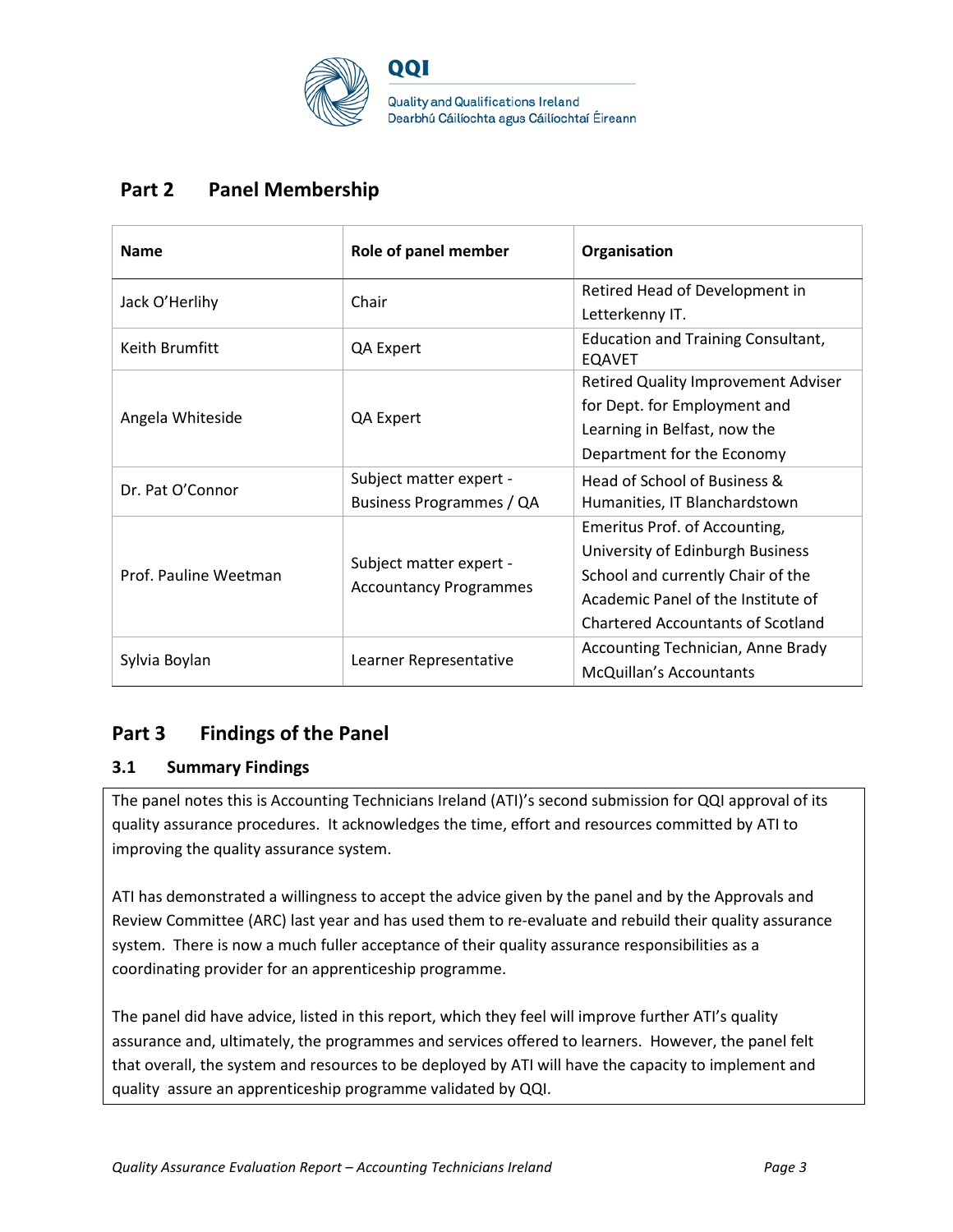

## **Part 2 Panel Membership**

| <b>Name</b>           | Role of panel member                                     | Organisation                                               |
|-----------------------|----------------------------------------------------------|------------------------------------------------------------|
| Jack O'Herlihy        | Chair                                                    | Retired Head of Development in                             |
|                       |                                                          | Letterkenny IT.                                            |
| Keith Brumfitt        | QA Expert                                                | <b>Education and Training Consultant,</b><br><b>EQAVET</b> |
|                       |                                                          | <b>Retired Quality Improvement Adviser</b>                 |
| Angela Whiteside      | QA Expert                                                | for Dept. for Employment and                               |
|                       |                                                          | Learning in Belfast, now the                               |
|                       |                                                          | Department for the Economy                                 |
| Dr. Pat O'Connor      | Subject matter expert -                                  | Head of School of Business &                               |
|                       | Business Programmes / QA                                 | Humanities, IT Blanchardstown                              |
|                       |                                                          | Emeritus Prof. of Accounting,                              |
|                       | Subject matter expert -<br><b>Accountancy Programmes</b> | University of Edinburgh Business                           |
| Prof. Pauline Weetman |                                                          | School and currently Chair of the                          |
|                       |                                                          | Academic Panel of the Institute of                         |
|                       |                                                          | <b>Chartered Accountants of Scotland</b>                   |
| Sylvia Boylan         | Learner Representative                                   | Accounting Technician, Anne Brady                          |
|                       |                                                          | McQuillan's Accountants                                    |

## **Part 3 Findings of the Panel**

### **3.1 Summary Findings**

The panel notes this is Accounting Technicians Ireland (ATI)'s second submission for QQI approval of its quality assurance procedures. It acknowledges the time, effort and resources committed by ATI to improving the quality assurance system.

ATI has demonstrated a willingness to accept the advice given by the panel and by the Approvals and Review Committee (ARC) last year and has used them to re-evaluate and rebuild their quality assurance system. There is now a much fuller acceptance of their quality assurance responsibilities as a coordinating provider for an apprenticeship programme.

The panel did have advice, listed in this report, which they feel will improve further ATI's quality assurance and, ultimately, the programmes and services offered to learners. However, the panel felt that overall, the system and resources to be deployed by ATI will have the capacity to implement and quality assure an apprenticeship programme validated by QQI.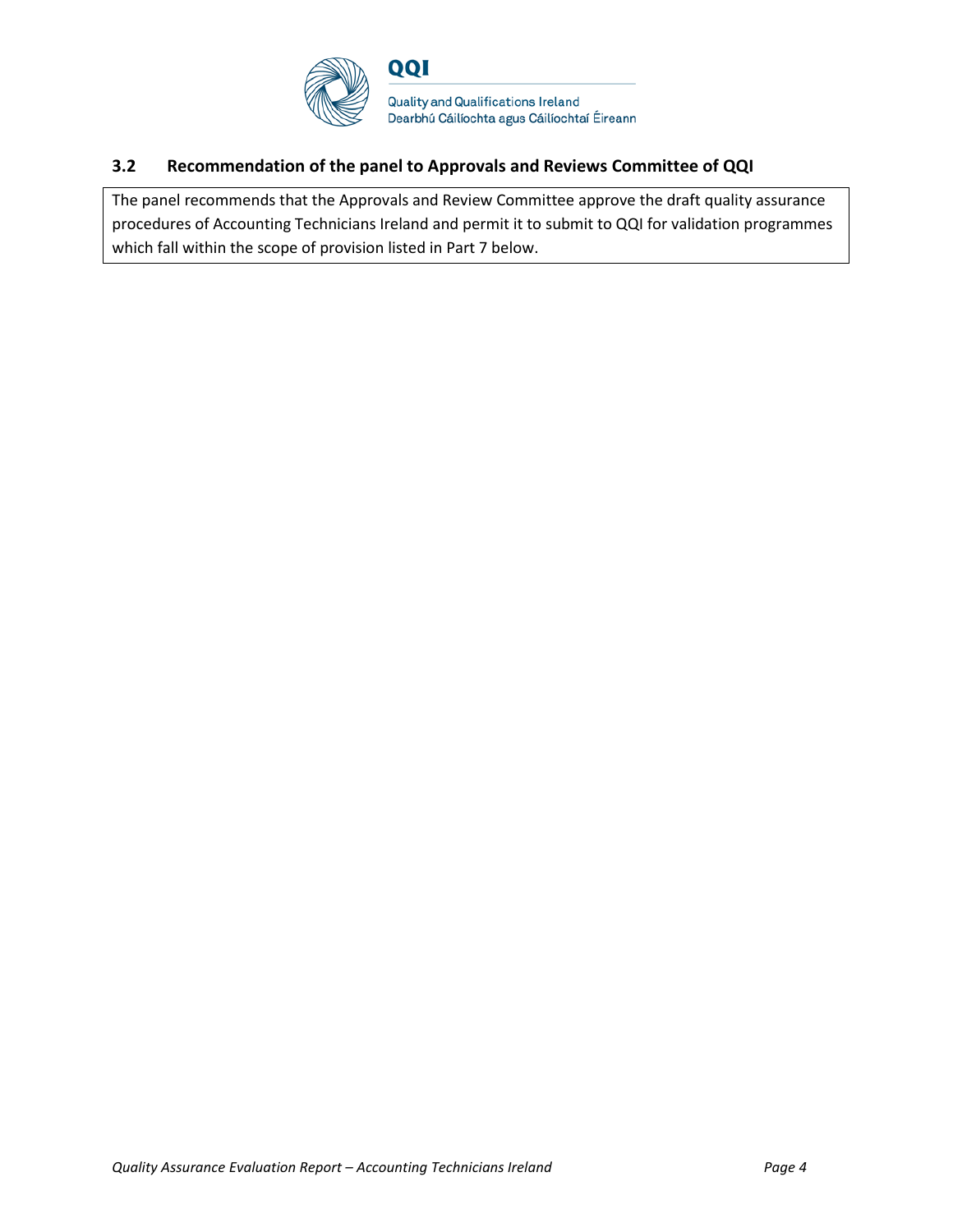

### **3.2 Recommendation of the panel to Approvals and Reviews Committee of QQI**

The panel recommends that the Approvals and Review Committee approve the draft quality assurance procedures of Accounting Technicians Ireland and permit it to submit to QQI for validation programmes which fall within the scope of provision listed in Part 7 below.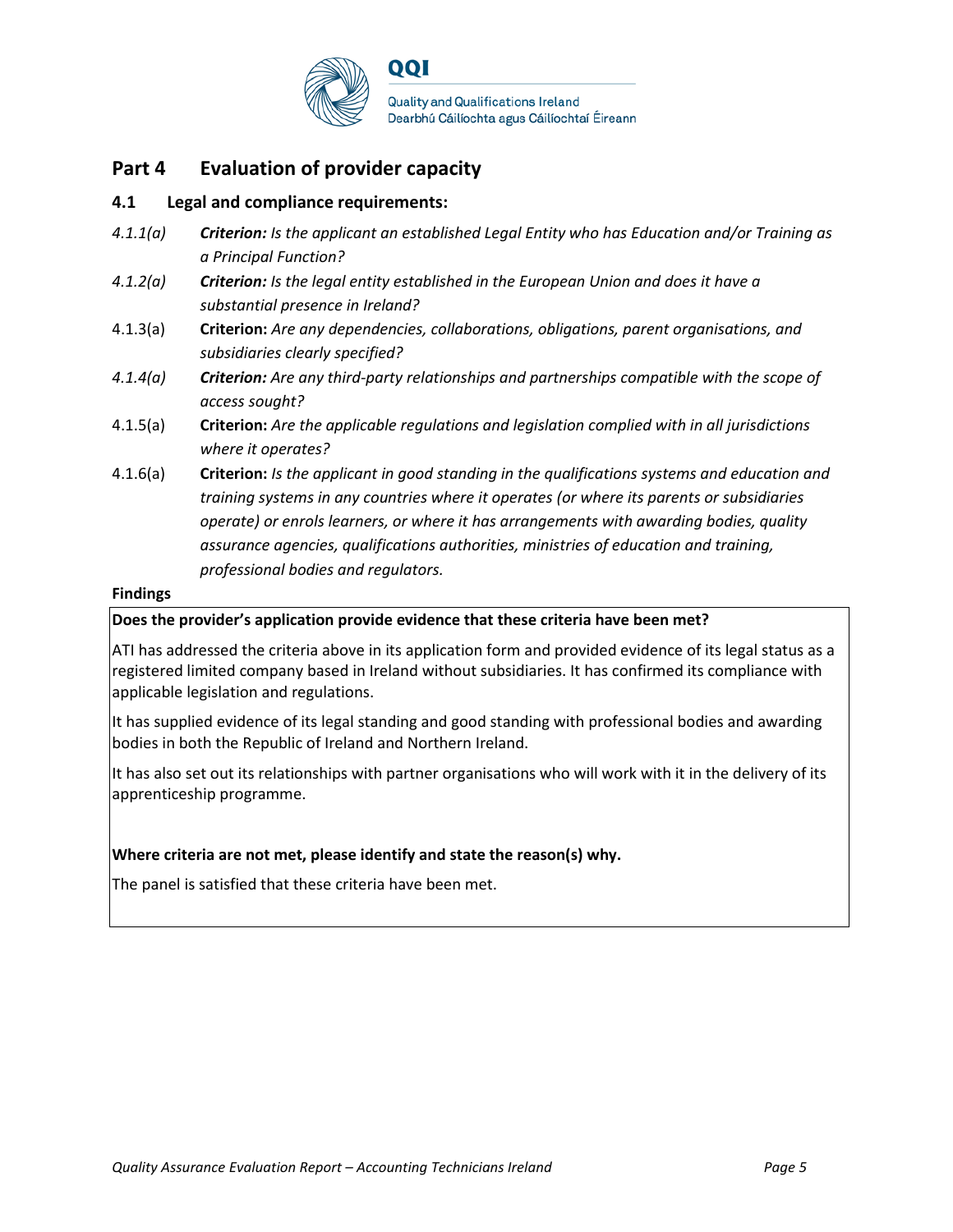

### **Part 4 Evaluation of provider capacity**

#### **4.1 Legal and compliance requirements:**

- *4.1.1(a) Criterion: Is the applicant an established Legal Entity who has Education and/or Training as a Principal Function?*
- *4.1.2(a) Criterion: Is the legal entity established in the European Union and does it have a substantial presence in Ireland?*
- 4.1.3(a) **Criterion:** *Are any dependencies, collaborations, obligations, parent organisations, and subsidiaries clearly specified?*
- *4.1.4(a) Criterion: Are any third-party relationships and partnerships compatible with the scope of access sought?*
- 4.1.5(a) **Criterion:** *Are the applicable regulations and legislation complied with in all jurisdictions where it operates?*
- 4.1.6(a) **Criterion:** *Is the applicant in good standing in the qualifications systems and education and training systems in any countries where it operates (or where its parents or subsidiaries operate) or enrols learners, or where it has arrangements with awarding bodies, quality assurance agencies, qualifications authorities, ministries of education and training, professional bodies and regulators.*

#### **Findings**

#### **Does the provider's application provide evidence that these criteria have been met?**

ATI has addressed the criteria above in its application form and provided evidence of its legal status as a registered limited company based in Ireland without subsidiaries. It has confirmed its compliance with applicable legislation and regulations.

It has supplied evidence of its legal standing and good standing with professional bodies and awarding bodies in both the Republic of Ireland and Northern Ireland.

It has also set out its relationships with partner organisations who will work with it in the delivery of its apprenticeship programme.

#### **Where criteria are not met, please identify and state the reason(s) why.**

The panel is satisfied that these criteria have been met.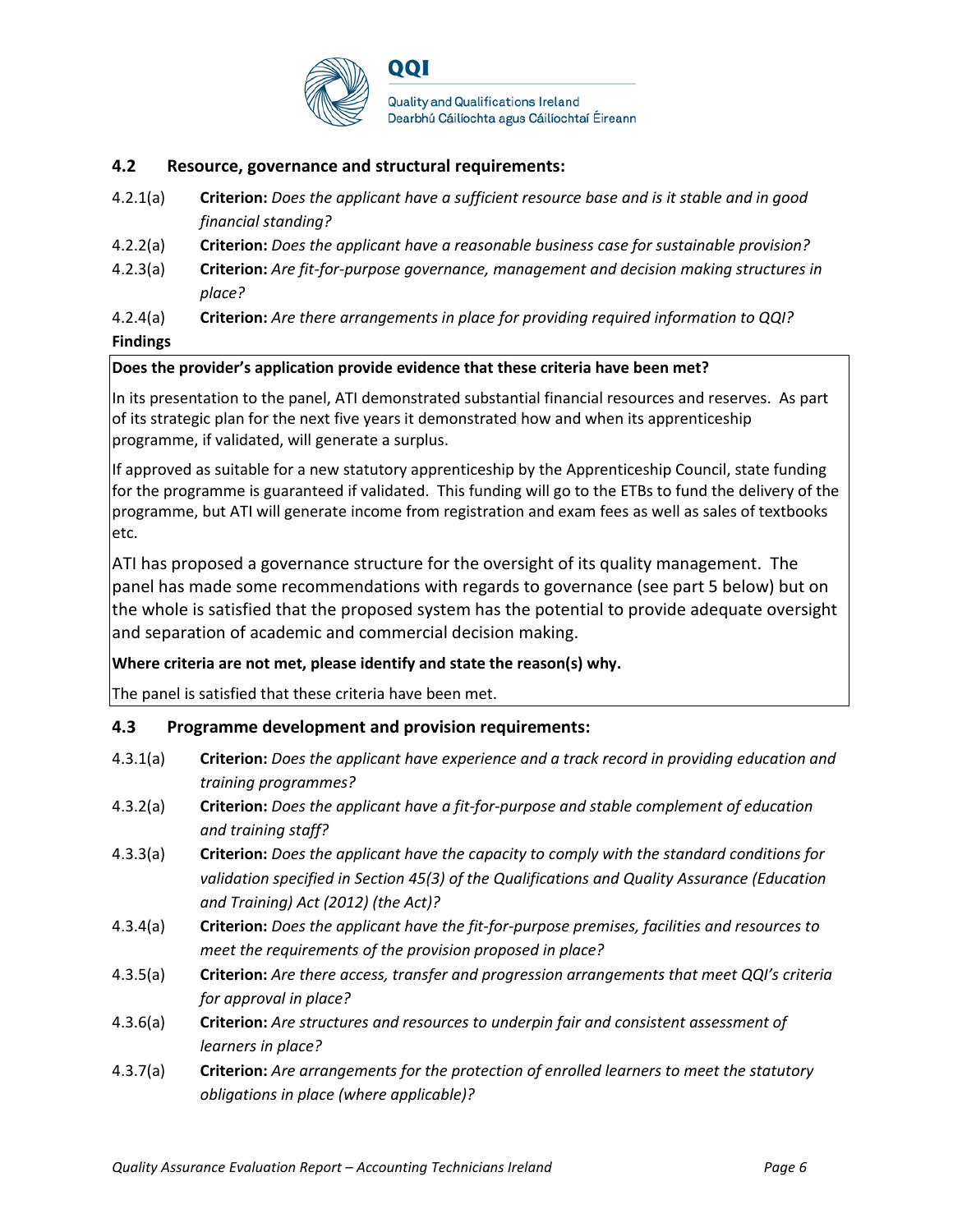

#### **4.2 Resource, governance and structural requirements:**

- 4.2.1(a) **Criterion:** *Does the applicant have a sufficient resource base and is it stable and in good financial standing?*
- 4.2.2(a) **Criterion:** *Does the applicant have a reasonable business case for sustainable provision?*
- 4.2.3(a) **Criterion:** *Are fit-for-purpose governance, management and decision making structures in place?*
- 4.2.4(a) **Criterion:** *Are there arrangements in place for providing required information to QQI?* **Findings**

#### **Does the provider's application provide evidence that these criteria have been met?**

In its presentation to the panel, ATI demonstrated substantial financial resources and reserves. As part of its strategic plan for the next five years it demonstrated how and when its apprenticeship programme, if validated, will generate a surplus.

If approved as suitable for a new statutory apprenticeship by the Apprenticeship Council, state funding for the programme is guaranteed if validated. This funding will go to the ETBs to fund the delivery of the programme, but ATI will generate income from registration and exam fees as well as sales of textbooks etc.

ATI has proposed a governance structure for the oversight of its quality management. The panel has made some recommendations with regards to governance (see part 5 below) but on the whole is satisfied that the proposed system has the potential to provide adequate oversight and separation of academic and commercial decision making.

#### **Where criteria are not met, please identify and state the reason(s) why.**

The panel is satisfied that these criteria have been met.

#### **4.3 Programme development and provision requirements:**

| 4.3.1(a) | <b>Criterion:</b> Does the applicant have experience and a track record in providing education and |
|----------|----------------------------------------------------------------------------------------------------|
|          | training programmes?                                                                               |

- 4.3.2(a) **Criterion:** *Does the applicant have a fit-for-purpose and stable complement of education and training staff?*
- 4.3.3(a) **Criterion:** *Does the applicant have the capacity to comply with the standard conditions for validation specified in Section 45(3) of the Qualifications and Quality Assurance (Education and Training) Act (2012) (the Act)?*
- 4.3.4(a) **Criterion:** *Does the applicant have the fit-for-purpose premises, facilities and resources to meet the requirements of the provision proposed in place?*
- 4.3.5(a) **Criterion:** *Are there access, transfer and progression arrangements that meet QQI's criteria for approval in place?*
- 4.3.6(a) **Criterion:** *Are structures and resources to underpin fair and consistent assessment of learners in place?*
- 4.3.7(a) **Criterion:** *Are arrangements for the protection of enrolled learners to meet the statutory obligations in place (where applicable)?*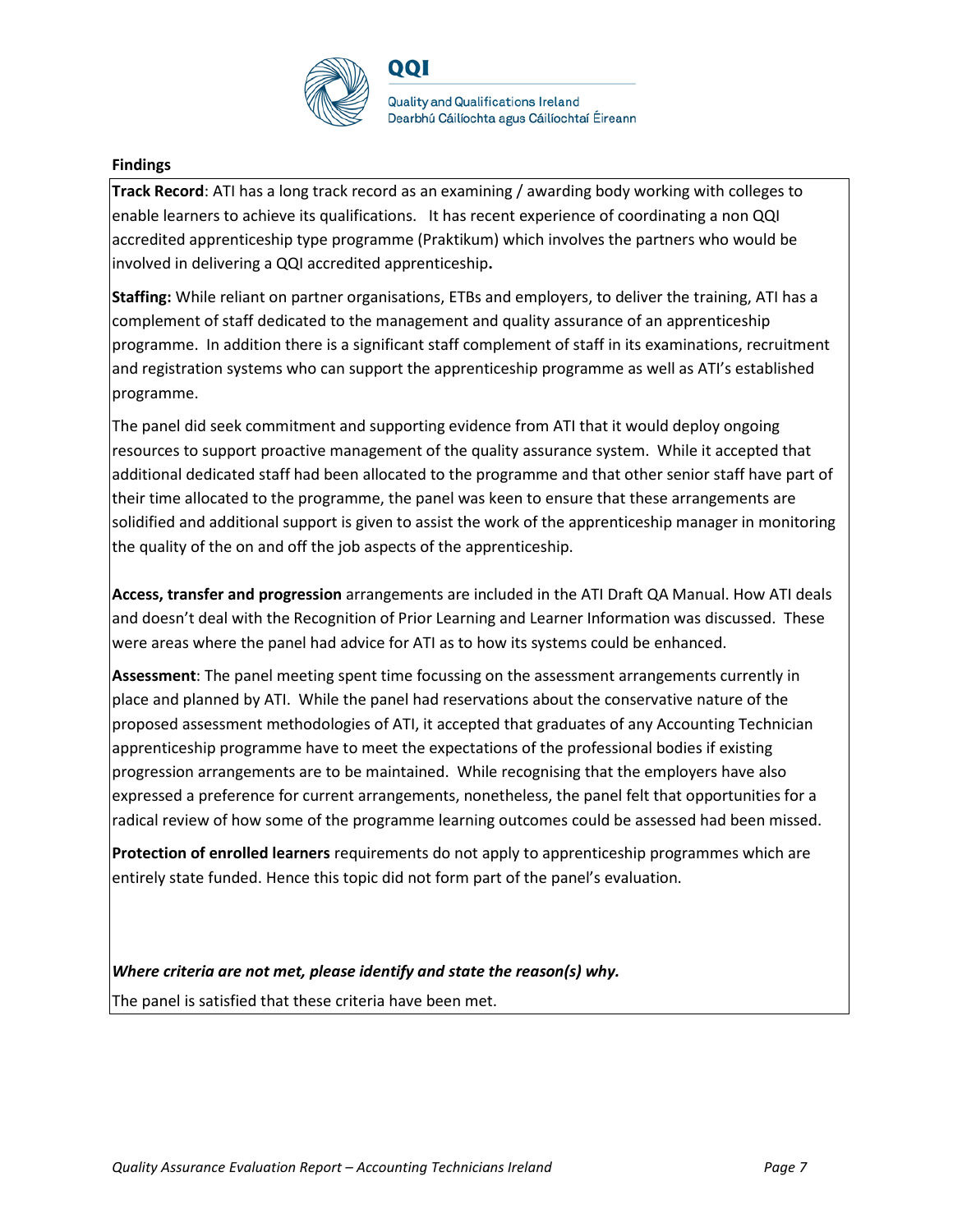

QQI

**Quality and Qualifications Ireland** Dearbhú Cáilíochta agus Cáilíochtaí Éireann

#### **Findings**

**Track Record**: ATI has a long track record as an examining / awarding body working with colleges to enable learners to achieve its qualifications. It has recent experience of coordinating a non QQI accredited apprenticeship type programme (Praktikum) which involves the partners who would be involved in delivering a QQI accredited apprenticeship**.**

**Staffing:** While reliant on partner organisations, ETBs and employers, to deliver the training, ATI has a complement of staff dedicated to the management and quality assurance of an apprenticeship programme. In addition there is a significant staff complement of staff in its examinations, recruitment and registration systems who can support the apprenticeship programme as well as ATI's established programme.

The panel did seek commitment and supporting evidence from ATI that it would deploy ongoing resources to support proactive management of the quality assurance system. While it accepted that additional dedicated staff had been allocated to the programme and that other senior staff have part of their time allocated to the programme, the panel was keen to ensure that these arrangements are solidified and additional support is given to assist the work of the apprenticeship manager in monitoring the quality of the on and off the job aspects of the apprenticeship.

**Access, transfer and progression** arrangements are included in the ATI Draft QA Manual. How ATI deals and doesn't deal with the Recognition of Prior Learning and Learner Information was discussed. These were areas where the panel had advice for ATI as to how its systems could be enhanced.

**Assessment**: The panel meeting spent time focussing on the assessment arrangements currently in place and planned by ATI. While the panel had reservations about the conservative nature of the proposed assessment methodologies of ATI, it accepted that graduates of any Accounting Technician apprenticeship programme have to meet the expectations of the professional bodies if existing progression arrangements are to be maintained. While recognising that the employers have also expressed a preference for current arrangements, nonetheless, the panel felt that opportunities for a radical review of how some of the programme learning outcomes could be assessed had been missed.

**Protection of enrolled learners** requirements do not apply to apprenticeship programmes which are entirely state funded. Hence this topic did not form part of the panel's evaluation.

*Where criteria are not met, please identify and state the reason(s) why.*  The panel is satisfied that these criteria have been met.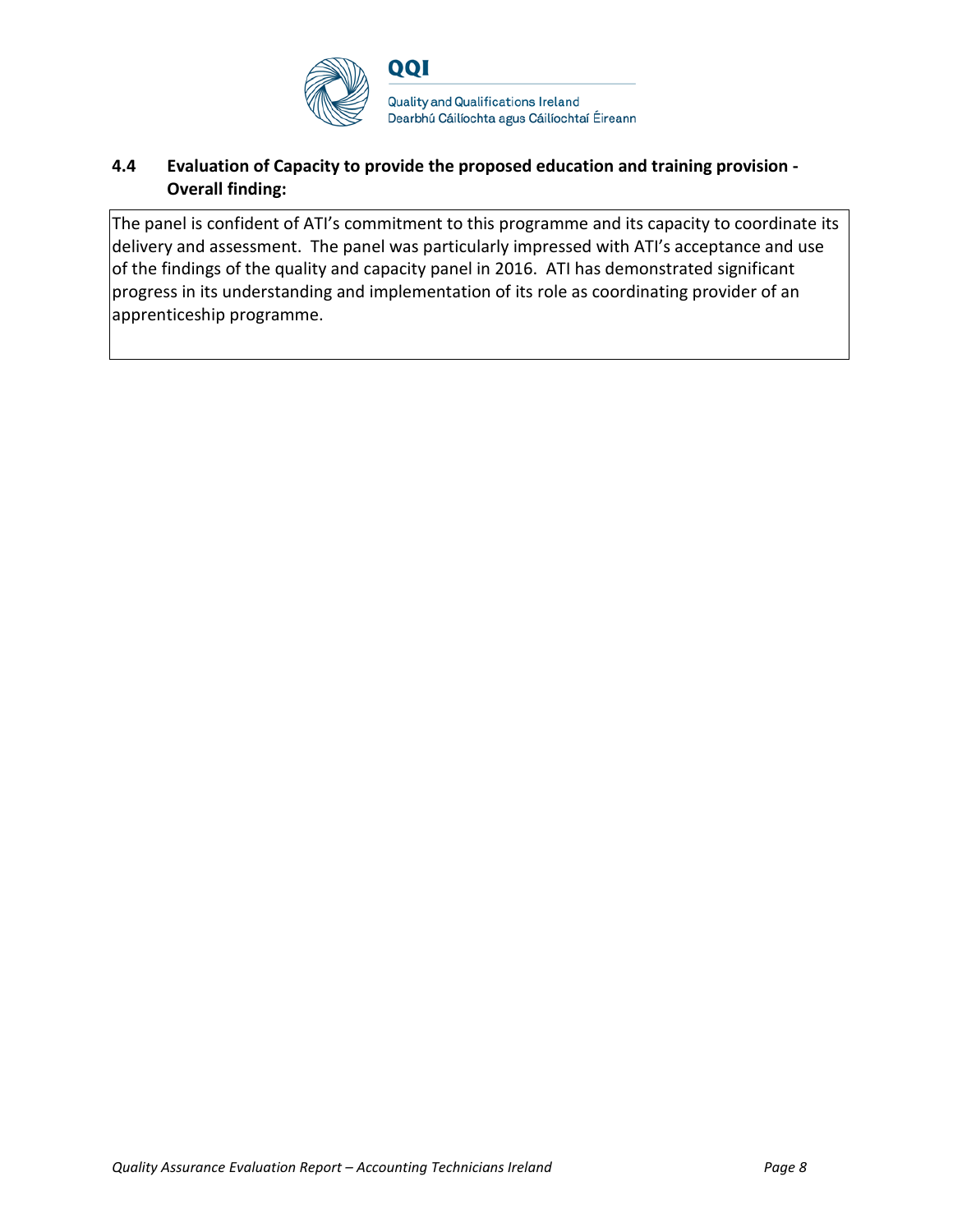

### **4.4 Evaluation of Capacity to provide the proposed education and training provision - Overall finding:**

The panel is confident of ATI's commitment to this programme and its capacity to coordinate its delivery and assessment. The panel was particularly impressed with ATI's acceptance and use of the findings of the quality and capacity panel in 2016. ATI has demonstrated significant progress in its understanding and implementation of its role as coordinating provider of an apprenticeship programme.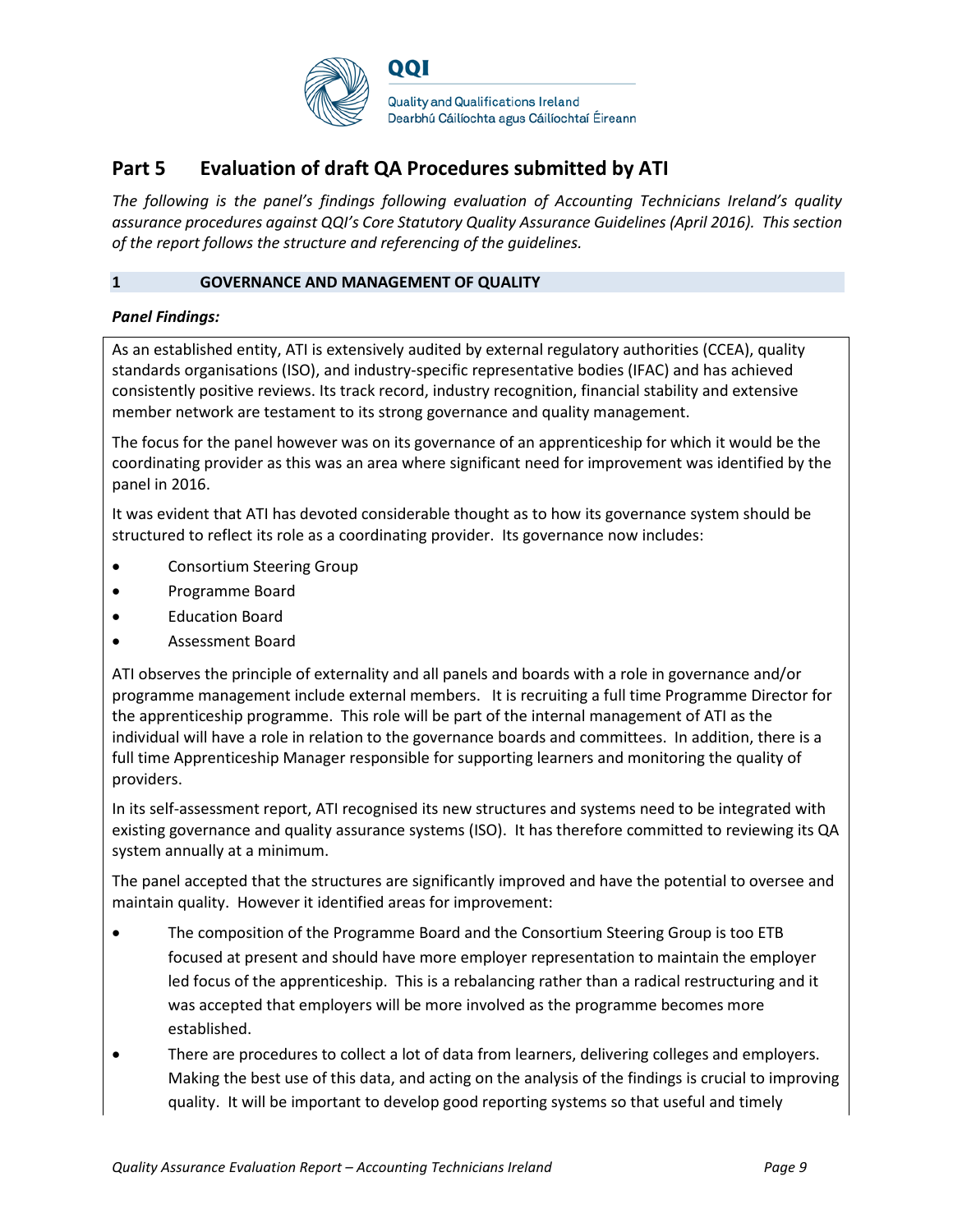

## **Part 5 Evaluation of draft QA Procedures submitted by ATI**

*The following is the panel's findings following evaluation of Accounting Technicians Ireland's quality assurance procedures against QQI's Core Statutory Quality Assurance Guidelines (April 2016). This section of the report follows the structure and referencing of the guidelines.* 

#### **1 GOVERNANCE AND MANAGEMENT OF QUALITY**

#### *Panel Findings:*

As an established entity, ATI is extensively audited by external regulatory authorities (CCEA), quality standards organisations (ISO), and industry-specific representative bodies (IFAC) and has achieved consistently positive reviews. Its track record, industry recognition, financial stability and extensive member network are testament to its strong governance and quality management.

The focus for the panel however was on its governance of an apprenticeship for which it would be the coordinating provider as this was an area where significant need for improvement was identified by the panel in 2016.

It was evident that ATI has devoted considerable thought as to how its governance system should be structured to reflect its role as a coordinating provider. Its governance now includes:

- Consortium Steering Group
- Programme Board
- Education Board
- Assessment Board

ATI observes the principle of externality and all panels and boards with a role in governance and/or programme management include external members. It is recruiting a full time Programme Director for the apprenticeship programme. This role will be part of the internal management of ATI as the individual will have a role in relation to the governance boards and committees. In addition, there is a full time Apprenticeship Manager responsible for supporting learners and monitoring the quality of providers.

In its self-assessment report, ATI recognised its new structures and systems need to be integrated with existing governance and quality assurance systems (ISO). It has therefore committed to reviewing its QA system annually at a minimum.

The panel accepted that the structures are significantly improved and have the potential to oversee and maintain quality. However it identified areas for improvement:

- The composition of the Programme Board and the Consortium Steering Group is too ETB focused at present and should have more employer representation to maintain the employer led focus of the apprenticeship. This is a rebalancing rather than a radical restructuring and it was accepted that employers will be more involved as the programme becomes more established.
- There are procedures to collect a lot of data from learners, delivering colleges and employers. Making the best use of this data, and acting on the analysis of the findings is crucial to improving quality. It will be important to develop good reporting systems so that useful and timely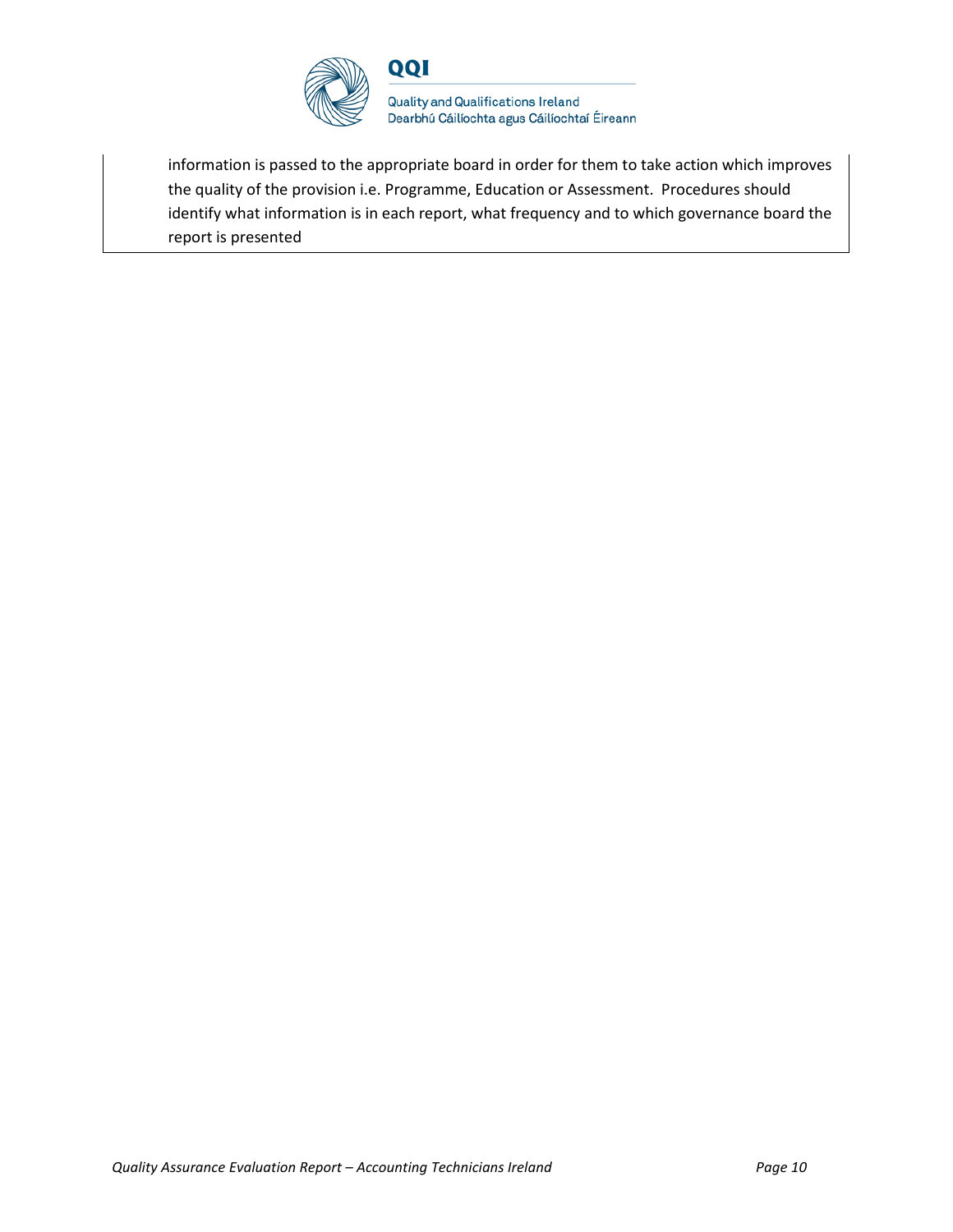

**Quality and Qualifications Ireland** Dearbhú Cáilíochta agus Cáilíochtaí Éireann

information is passed to the appropriate board in order for them to take action which improves the quality of the provision i.e. Programme, Education or Assessment. Procedures should identify what information is in each report, what frequency and to which governance board the report is presented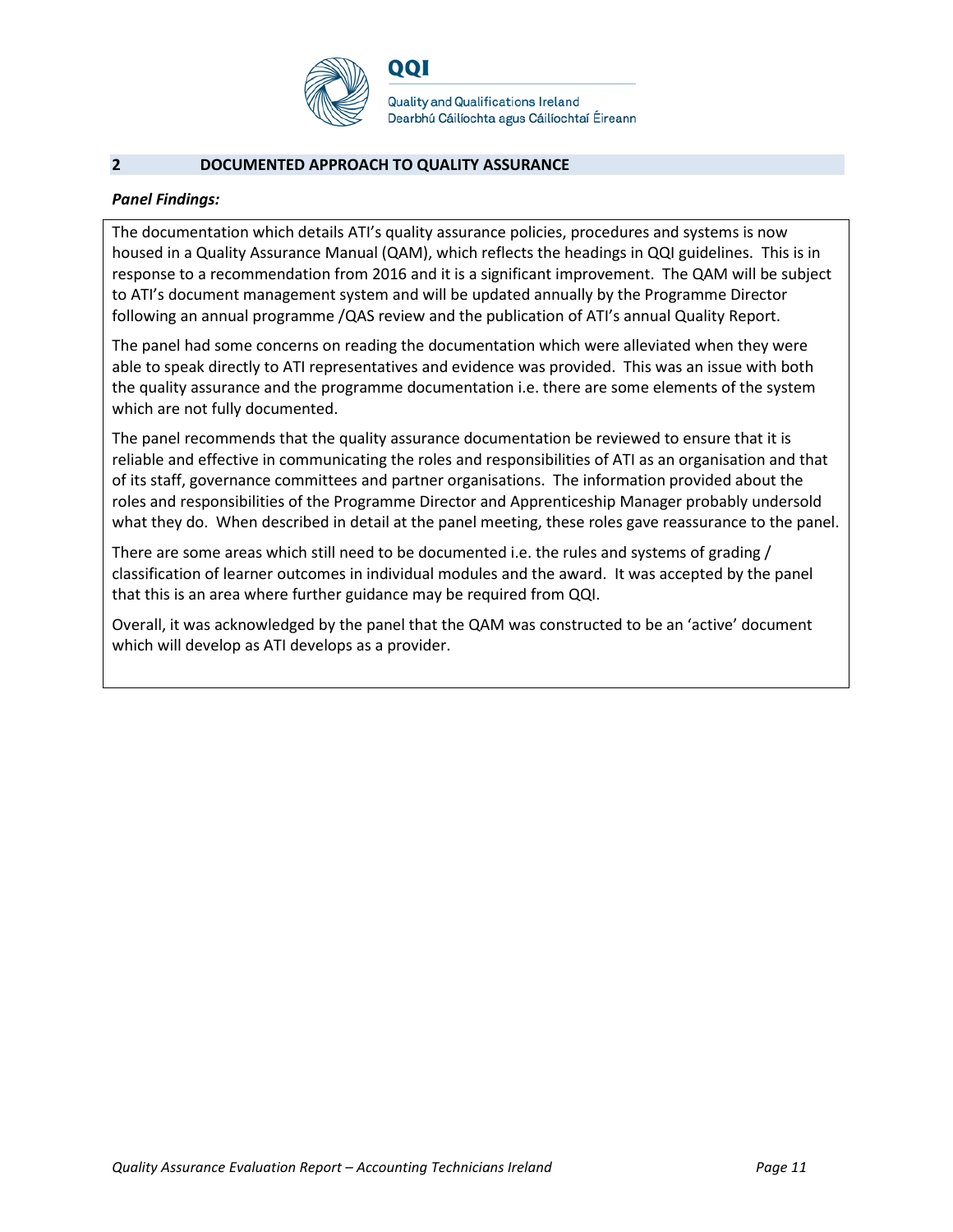

**Quality and Qualifications Ireland** Dearbhú Cáilíochta agus Cáilíochtaí Éireann

#### **2 DOCUMENTED APPROACH TO QUALITY ASSURANCE**

#### *Panel Findings:*

The documentation which details ATI's quality assurance policies, procedures and systems is now housed in a Quality Assurance Manual (QAM), which reflects the headings in QQI guidelines. This is in response to a recommendation from 2016 and it is a significant improvement. The QAM will be subject to ATI's document management system and will be updated annually by the Programme Director following an annual programme /QAS review and the publication of ATI's annual Quality Report.

The panel had some concerns on reading the documentation which were alleviated when they were able to speak directly to ATI representatives and evidence was provided. This was an issue with both the quality assurance and the programme documentation i.e. there are some elements of the system which are not fully documented.

The panel recommends that the quality assurance documentation be reviewed to ensure that it is reliable and effective in communicating the roles and responsibilities of ATI as an organisation and that of its staff, governance committees and partner organisations. The information provided about the roles and responsibilities of the Programme Director and Apprenticeship Manager probably undersold what they do. When described in detail at the panel meeting, these roles gave reassurance to the panel.

There are some areas which still need to be documented i.e. the rules and systems of grading / classification of learner outcomes in individual modules and the award. It was accepted by the panel that this is an area where further guidance may be required from QQI.

Overall, it was acknowledged by the panel that the QAM was constructed to be an 'active' document which will develop as ATI develops as a provider.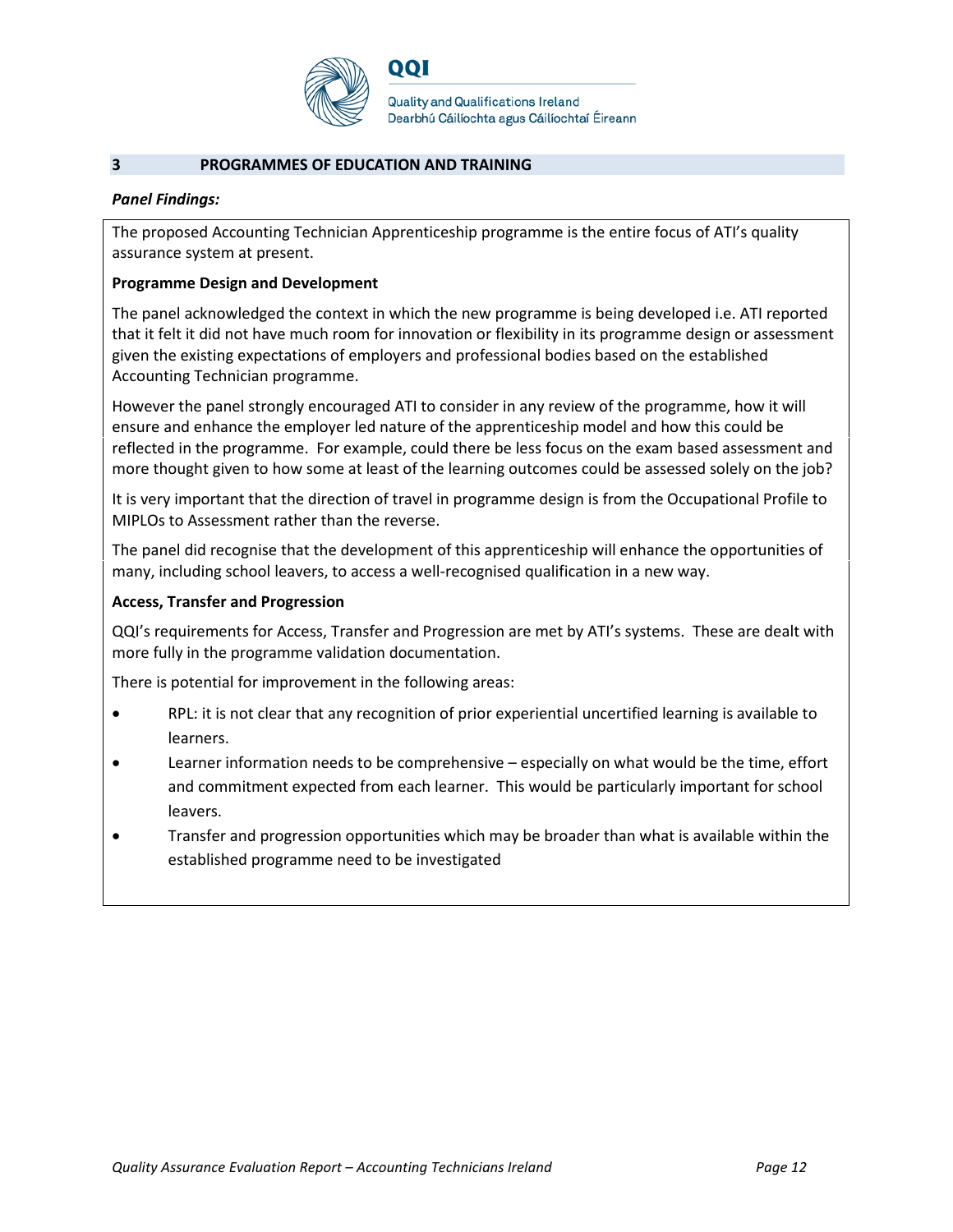

#### **3 PROGRAMMES OF EDUCATION AND TRAINING**

#### *Panel Findings:*

The proposed Accounting Technician Apprenticeship programme is the entire focus of ATI's quality assurance system at present.

#### **Programme Design and Development**

The panel acknowledged the context in which the new programme is being developed i.e. ATI reported that it felt it did not have much room for innovation or flexibility in its programme design or assessment given the existing expectations of employers and professional bodies based on the established Accounting Technician programme.

However the panel strongly encouraged ATI to consider in any review of the programme, how it will ensure and enhance the employer led nature of the apprenticeship model and how this could be reflected in the programme. For example, could there be less focus on the exam based assessment and more thought given to how some at least of the learning outcomes could be assessed solely on the job?

It is very important that the direction of travel in programme design is from the Occupational Profile to MIPLOs to Assessment rather than the reverse.

The panel did recognise that the development of this apprenticeship will enhance the opportunities of many, including school leavers, to access a well-recognised qualification in a new way.

#### **Access, Transfer and Progression**

QQI's requirements for Access, Transfer and Progression are met by ATI's systems. These are dealt with more fully in the programme validation documentation.

There is potential for improvement in the following areas:

- RPL: it is not clear that any recognition of prior experiential uncertified learning is available to learners.
- Learner information needs to be comprehensive especially on what would be the time, effort and commitment expected from each learner. This would be particularly important for school leavers.
- Transfer and progression opportunities which may be broader than what is available within the established programme need to be investigated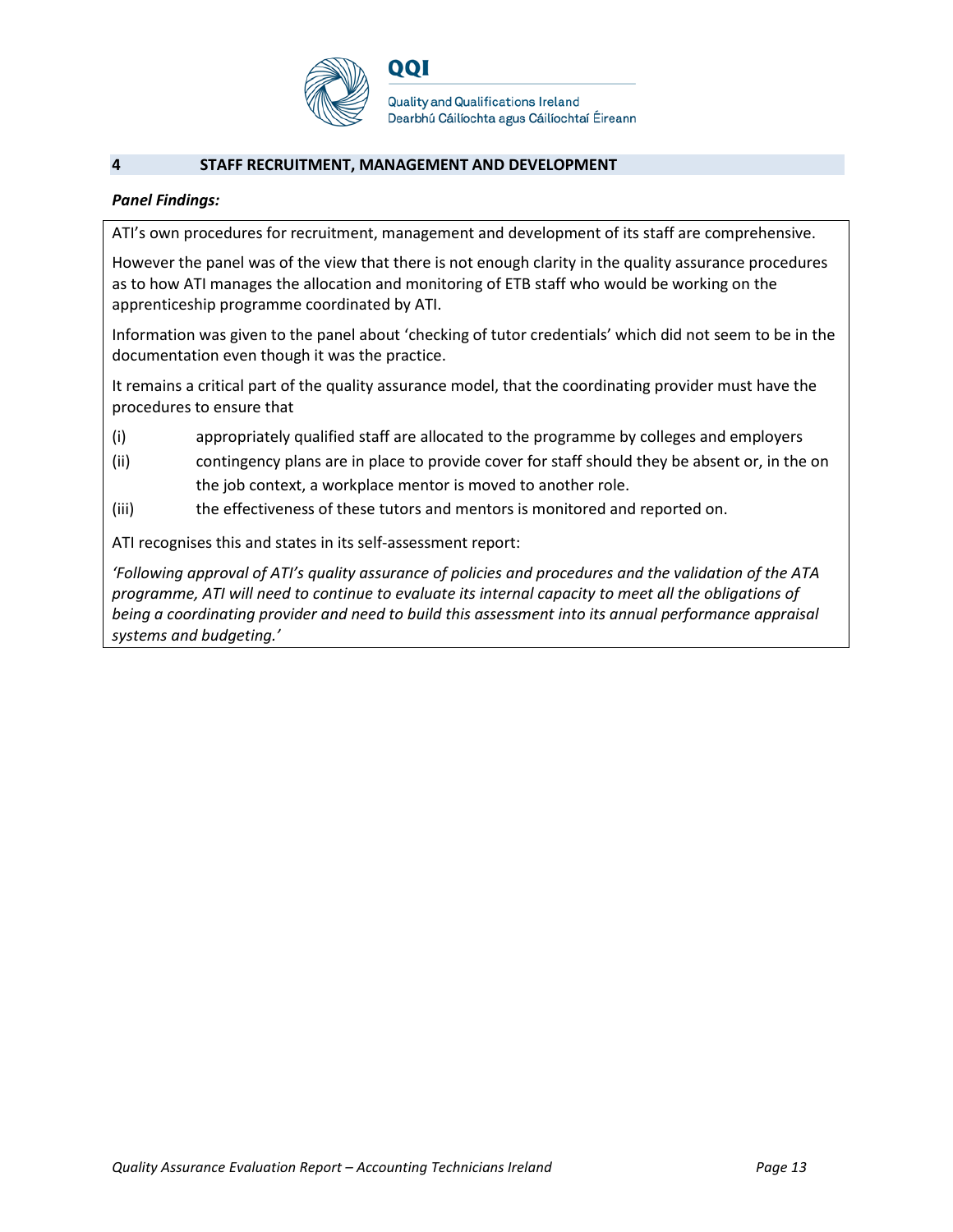

**Quality and Qualifications Ireland** Dearbhú Cáilíochta agus Cáilíochtaí Éireann

#### **4 STAFF RECRUITMENT, MANAGEMENT AND DEVELOPMENT**

#### *Panel Findings:*

ATI's own procedures for recruitment, management and development of its staff are comprehensive.

However the panel was of the view that there is not enough clarity in the quality assurance procedures as to how ATI manages the allocation and monitoring of ETB staff who would be working on the apprenticeship programme coordinated by ATI.

Information was given to the panel about 'checking of tutor credentials' which did not seem to be in the documentation even though it was the practice.

It remains a critical part of the quality assurance model, that the coordinating provider must have the procedures to ensure that

- (i) appropriately qualified staff are allocated to the programme by colleges and employers
- (ii) contingency plans are in place to provide cover for staff should they be absent or, in the on the job context, a workplace mentor is moved to another role.
- (iii) the effectiveness of these tutors and mentors is monitored and reported on.

ATI recognises this and states in its self-assessment report:

*'Following approval of ATI's quality assurance of policies and procedures and the validation of the ATA programme, ATI will need to continue to evaluate its internal capacity to meet all the obligations of being a coordinating provider and need to build this assessment into its annual performance appraisal systems and budgeting.'*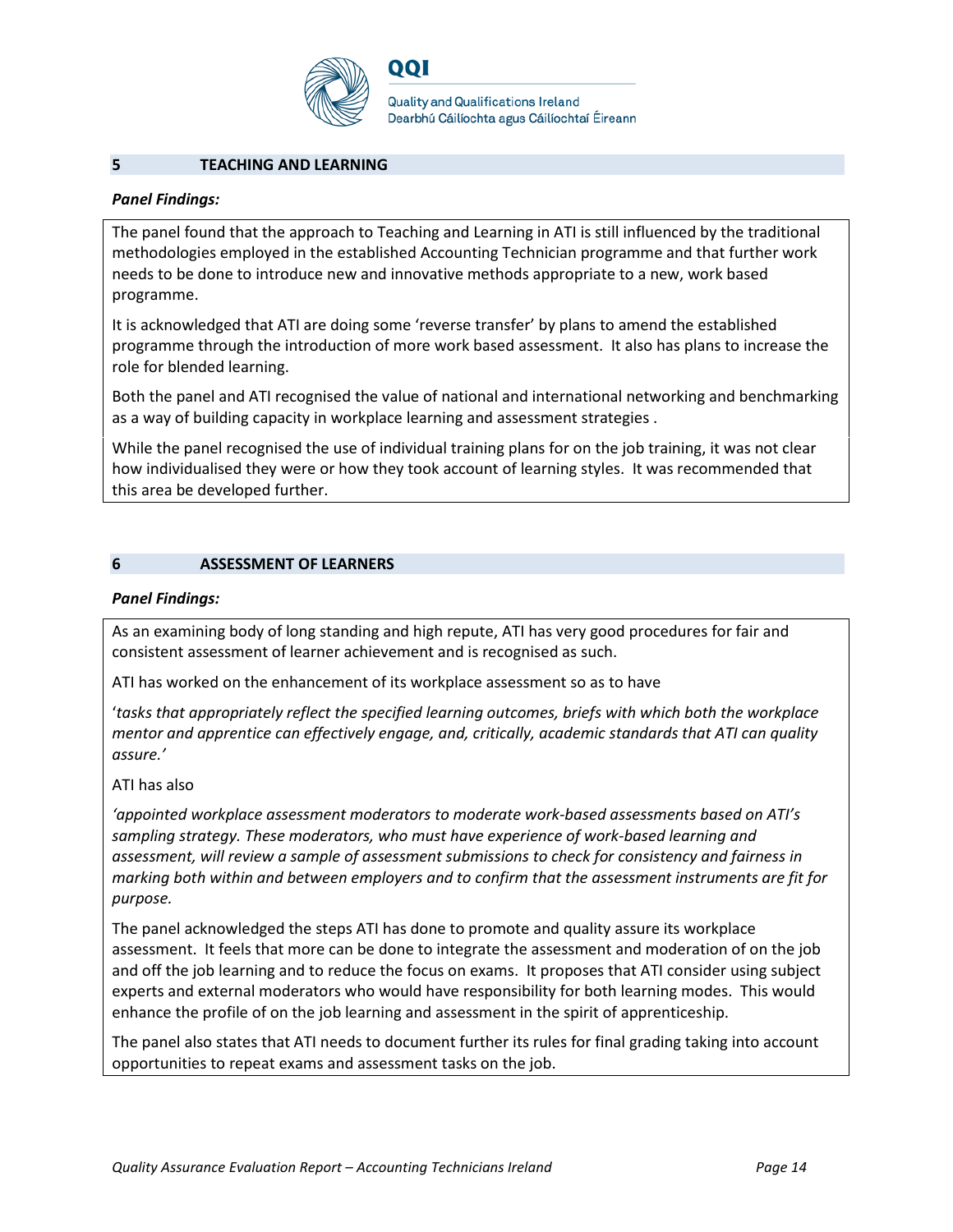

QQI

**Quality and Qualifications Ireland** Dearbhú Cáilíochta agus Cáilíochtaí Éireann

#### **5 TEACHING AND LEARNING**

#### *Panel Findings:*

The panel found that the approach to Teaching and Learning in ATI is still influenced by the traditional methodologies employed in the established Accounting Technician programme and that further work needs to be done to introduce new and innovative methods appropriate to a new, work based programme.

It is acknowledged that ATI are doing some 'reverse transfer' by plans to amend the established programme through the introduction of more work based assessment. It also has plans to increase the role for blended learning.

Both the panel and ATI recognised the value of national and international networking and benchmarking as a way of building capacity in workplace learning and assessment strategies .

While the panel recognised the use of individual training plans for on the job training, it was not clear how individualised they were or how they took account of learning styles. It was recommended that this area be developed further.

#### **6 ASSESSMENT OF LEARNERS**

#### *Panel Findings:*

As an examining body of long standing and high repute, ATI has very good procedures for fair and consistent assessment of learner achievement and is recognised as such.

ATI has worked on the enhancement of its workplace assessment so as to have

'*tasks that appropriately reflect the specified learning outcomes, briefs with which both the workplace mentor and apprentice can effectively engage, and, critically, academic standards that ATI can quality assure.'*

#### ATI has also

*'appointed workplace assessment moderators to moderate work-based assessments based on ATI's sampling strategy. These moderators, who must have experience of work-based learning and assessment, will review a sample of assessment submissions to check for consistency and fairness in marking both within and between employers and to confirm that the assessment instruments are fit for purpose.*

The panel acknowledged the steps ATI has done to promote and quality assure its workplace assessment. It feels that more can be done to integrate the assessment and moderation of on the job and off the job learning and to reduce the focus on exams. It proposes that ATI consider using subject experts and external moderators who would have responsibility for both learning modes. This would enhance the profile of on the job learning and assessment in the spirit of apprenticeship.

The panel also states that ATI needs to document further its rules for final grading taking into account opportunities to repeat exams and assessment tasks on the job.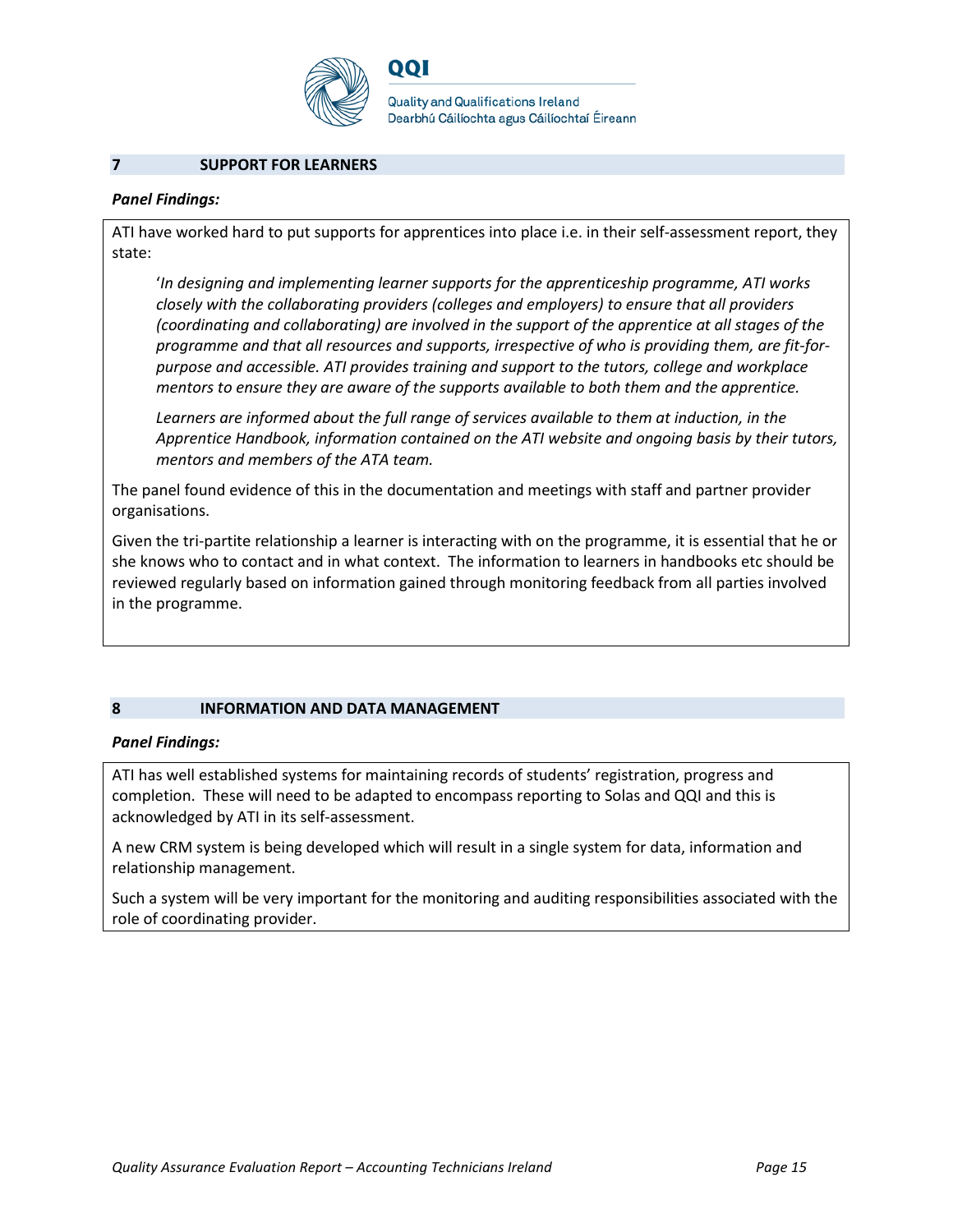

QQI

**Quality and Qualifications Ireland** Dearbhú Cáilíochta agus Cáilíochtaí Éireann

#### **7 SUPPORT FOR LEARNERS**

#### *Panel Findings:*

ATI have worked hard to put supports for apprentices into place i.e. in their self-assessment report, they state:

'*In designing and implementing learner supports for the apprenticeship programme, ATI works closely with the collaborating providers (colleges and employers) to ensure that all providers (coordinating and collaborating) are involved in the support of the apprentice at all stages of the programme and that all resources and supports, irrespective of who is providing them, are fit-forpurpose and accessible. ATI provides training and support to the tutors, college and workplace mentors to ensure they are aware of the supports available to both them and the apprentice.* 

*Learners are informed about the full range of services available to them at induction, in the Apprentice Handbook, information contained on the ATI website and ongoing basis by their tutors, mentors and members of the ATA team.*

The panel found evidence of this in the documentation and meetings with staff and partner provider organisations.

Given the tri-partite relationship a learner is interacting with on the programme, it is essential that he or she knows who to contact and in what context. The information to learners in handbooks etc should be reviewed regularly based on information gained through monitoring feedback from all parties involved in the programme.

#### **8 INFORMATION AND DATA MANAGEMENT**

#### *Panel Findings:*

ATI has well established systems for maintaining records of students' registration, progress and completion. These will need to be adapted to encompass reporting to Solas and QQI and this is acknowledged by ATI in its self-assessment.

A new CRM system is being developed which will result in a single system for data, information and relationship management.

Such a system will be very important for the monitoring and auditing responsibilities associated with the role of coordinating provider.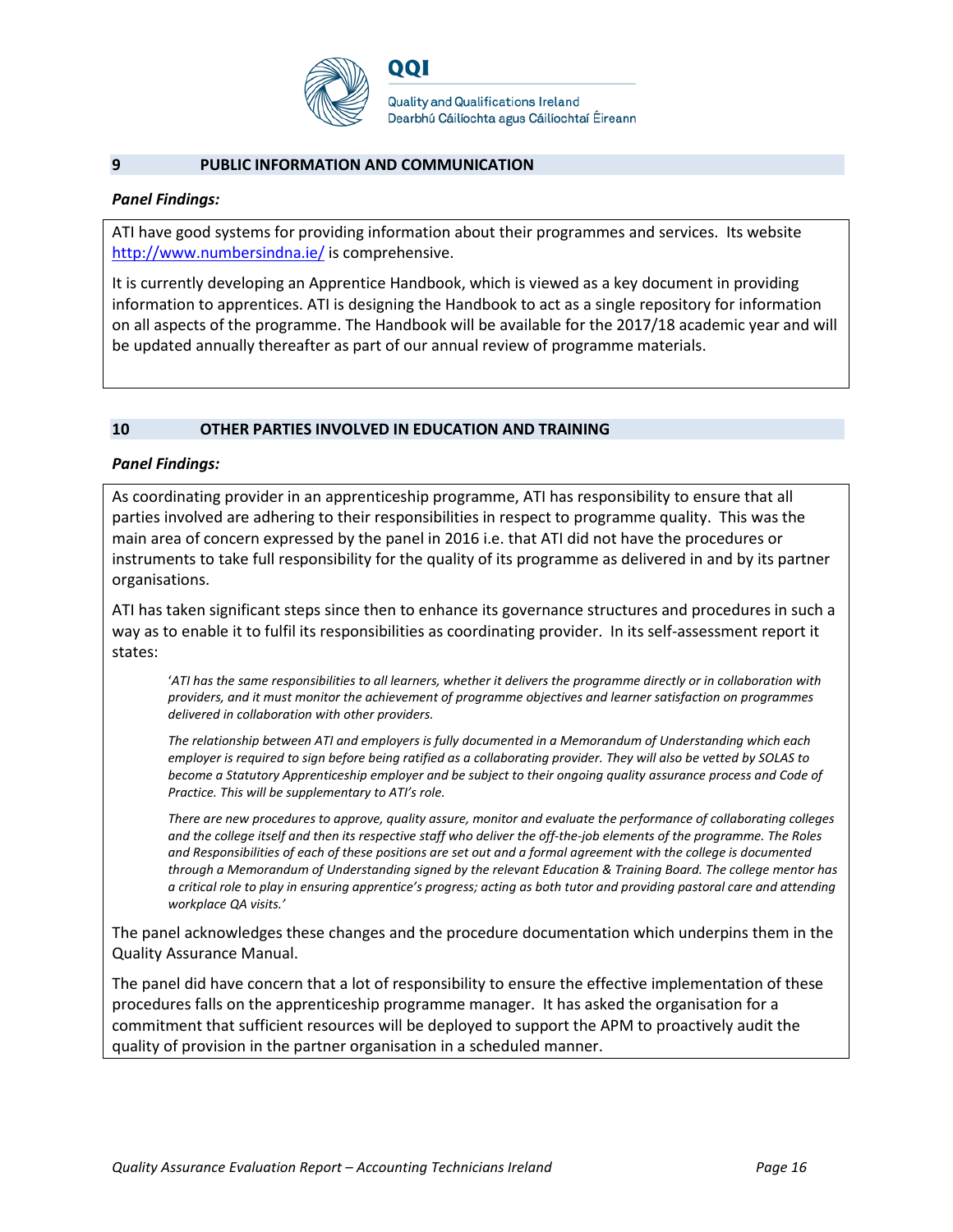

#### **9 PUBLIC INFORMATION AND COMMUNICATION**

#### *Panel Findings:*

ATI have good systems for providing information about their programmes and services. Its website <http://www.numbersindna.ie/> is comprehensive.

It is currently developing an Apprentice Handbook, which is viewed as a key document in providing information to apprentices. ATI is designing the Handbook to act as a single repository for information on all aspects of the programme. The Handbook will be available for the 2017/18 academic year and will be updated annually thereafter as part of our annual review of programme materials.

#### **10 OTHER PARTIES INVOLVED IN EDUCATION AND TRAINING**

#### *Panel Findings:*

As coordinating provider in an apprenticeship programme, ATI has responsibility to ensure that all parties involved are adhering to their responsibilities in respect to programme quality. This was the main area of concern expressed by the panel in 2016 i.e. that ATI did not have the procedures or instruments to take full responsibility for the quality of its programme as delivered in and by its partner organisations.

ATI has taken significant steps since then to enhance its governance structures and procedures in such a way as to enable it to fulfil its responsibilities as coordinating provider. In its self-assessment report it states:

'*ATI has the same responsibilities to all learners, whether it delivers the programme directly or in collaboration with providers, and it must monitor the achievement of programme objectives and learner satisfaction on programmes delivered in collaboration with other providers.*

*The relationship between ATI and employers is fully documented in a Memorandum of Understanding which each employer is required to sign before being ratified as a collaborating provider. They will also be vetted by SOLAS to become a Statutory Apprenticeship employer and be subject to their ongoing quality assurance process and Code of Practice. This will be supplementary to ATI's role.*

*There are new procedures to approve, quality assure, monitor and evaluate the performance of collaborating colleges and the college itself and then its respective staff who deliver the off-the-job elements of the programme. The Roles and Responsibilities of each of these positions are set out and a formal agreement with the college is documented through a Memorandum of Understanding signed by the relevant Education & Training Board. The college mentor has a critical role to play in ensuring apprentice's progress; acting as both tutor and providing pastoral care and attending workplace QA visits.'*

The panel acknowledges these changes and the procedure documentation which underpins them in the Quality Assurance Manual.

The panel did have concern that a lot of responsibility to ensure the effective implementation of these procedures falls on the apprenticeship programme manager. It has asked the organisation for a commitment that sufficient resources will be deployed to support the APM to proactively audit the quality of provision in the partner organisation in a scheduled manner.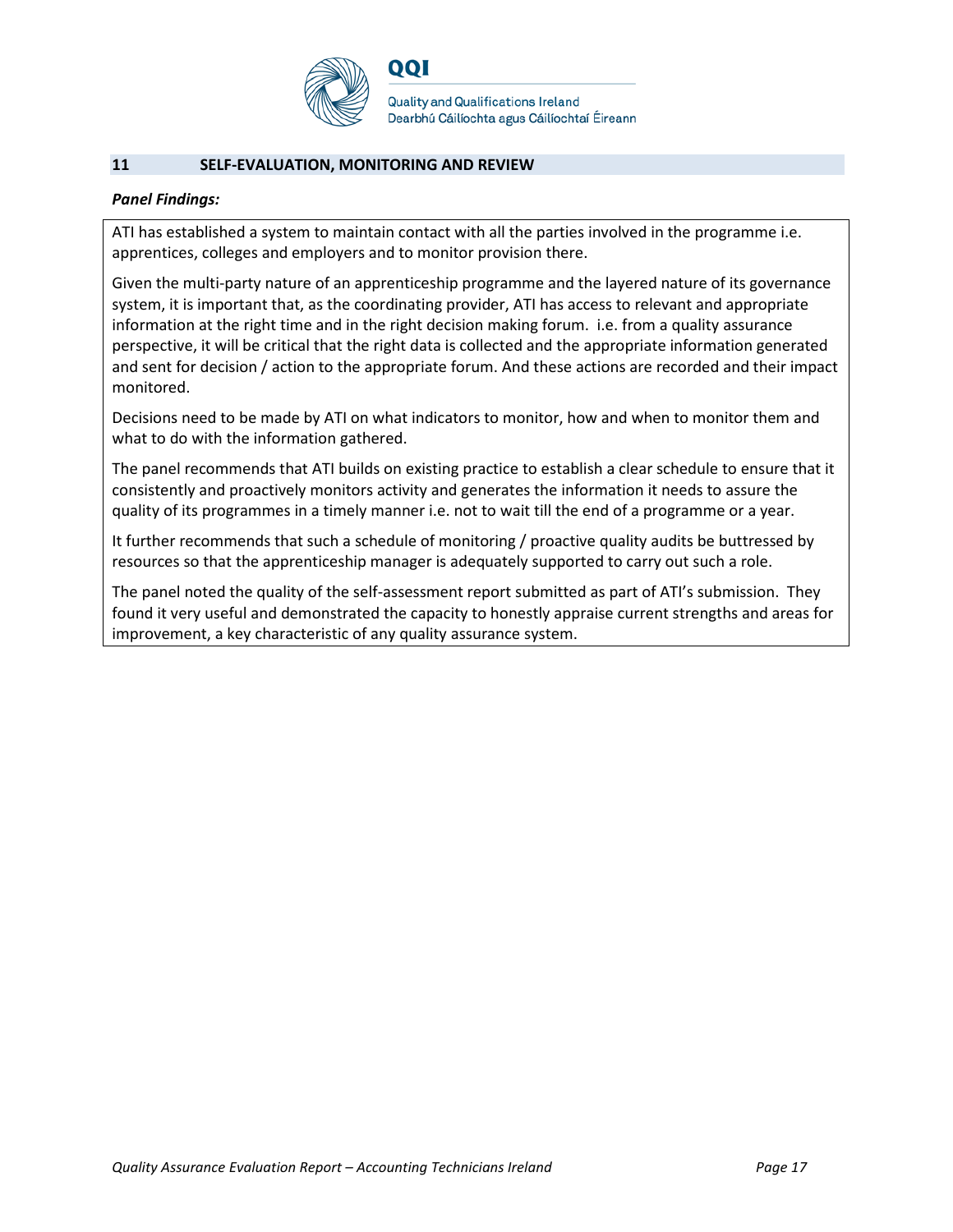

#### **11 SELF-EVALUATION, MONITORING AND REVIEW**

#### *Panel Findings:*

ATI has established a system to maintain contact with all the parties involved in the programme i.e. apprentices, colleges and employers and to monitor provision there.

Given the multi-party nature of an apprenticeship programme and the layered nature of its governance system, it is important that, as the coordinating provider, ATI has access to relevant and appropriate information at the right time and in the right decision making forum. i.e. from a quality assurance perspective, it will be critical that the right data is collected and the appropriate information generated and sent for decision / action to the appropriate forum. And these actions are recorded and their impact monitored.

Decisions need to be made by ATI on what indicators to monitor, how and when to monitor them and what to do with the information gathered.

The panel recommends that ATI builds on existing practice to establish a clear schedule to ensure that it consistently and proactively monitors activity and generates the information it needs to assure the quality of its programmes in a timely manner i.e. not to wait till the end of a programme or a year.

It further recommends that such a schedule of monitoring / proactive quality audits be buttressed by resources so that the apprenticeship manager is adequately supported to carry out such a role.

The panel noted the quality of the self-assessment report submitted as part of ATI's submission. They found it very useful and demonstrated the capacity to honestly appraise current strengths and areas for improvement, a key characteristic of any quality assurance system.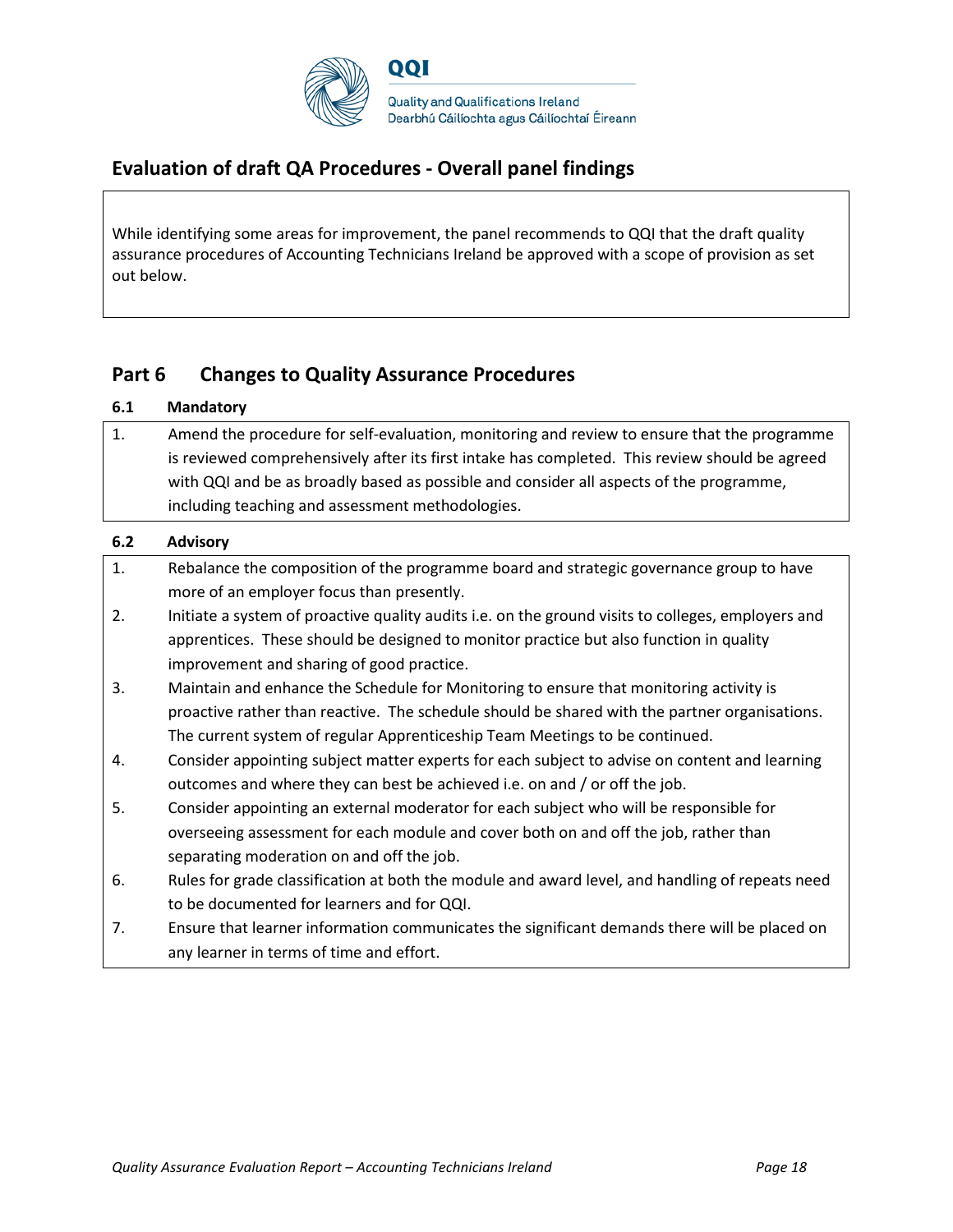

## **Evaluation of draft QA Procedures - Overall panel findings**

While identifying some areas for improvement, the panel recommends to QQI that the draft quality assurance procedures of Accounting Technicians Ireland be approved with a scope of provision as set out below.

## **Part 6 Changes to Quality Assurance Procedures**

| 6.1 | <b>Mandatory</b>                                                                                   |
|-----|----------------------------------------------------------------------------------------------------|
| 1.  | Amend the procedure for self-evaluation, monitoring and review to ensure that the programme        |
|     | is reviewed comprehensively after its first intake has completed. This review should be agreed     |
|     | with QQI and be as broadly based as possible and consider all aspects of the programme,            |
|     | including teaching and assessment methodologies.                                                   |
| 6.2 | <b>Advisory</b>                                                                                    |
| 1.  | Rebalance the composition of the programme board and strategic governance group to have            |
|     | more of an employer focus than presently.                                                          |
| 2.  | Initiate a system of proactive quality audits i.e. on the ground visits to colleges, employers and |
|     | apprentices. These should be designed to monitor practice but also function in quality             |
|     | improvement and sharing of good practice.                                                          |
| 3.  | Maintain and enhance the Schedule for Monitoring to ensure that monitoring activity is             |
|     | proactive rather than reactive. The schedule should be shared with the partner organisations.      |
|     | The current system of regular Apprenticeship Team Meetings to be continued.                        |
| 4.  | Consider appointing subject matter experts for each subject to advise on content and learning      |
|     | outcomes and where they can best be achieved i.e. on and / or off the job.                         |
| 5.  | Consider appointing an external moderator for each subject who will be responsible for             |
|     | overseeing assessment for each module and cover both on and off the job, rather than               |
|     | separating moderation on and off the job.                                                          |
| 6.  | Rules for grade classification at both the module and award level, and handling of repeats need    |
|     | to be documented for learners and for QQI.                                                         |
| 7.  | Ensure that learner information communicates the significant demands there will be placed on       |
|     | any learner in terms of time and effort.                                                           |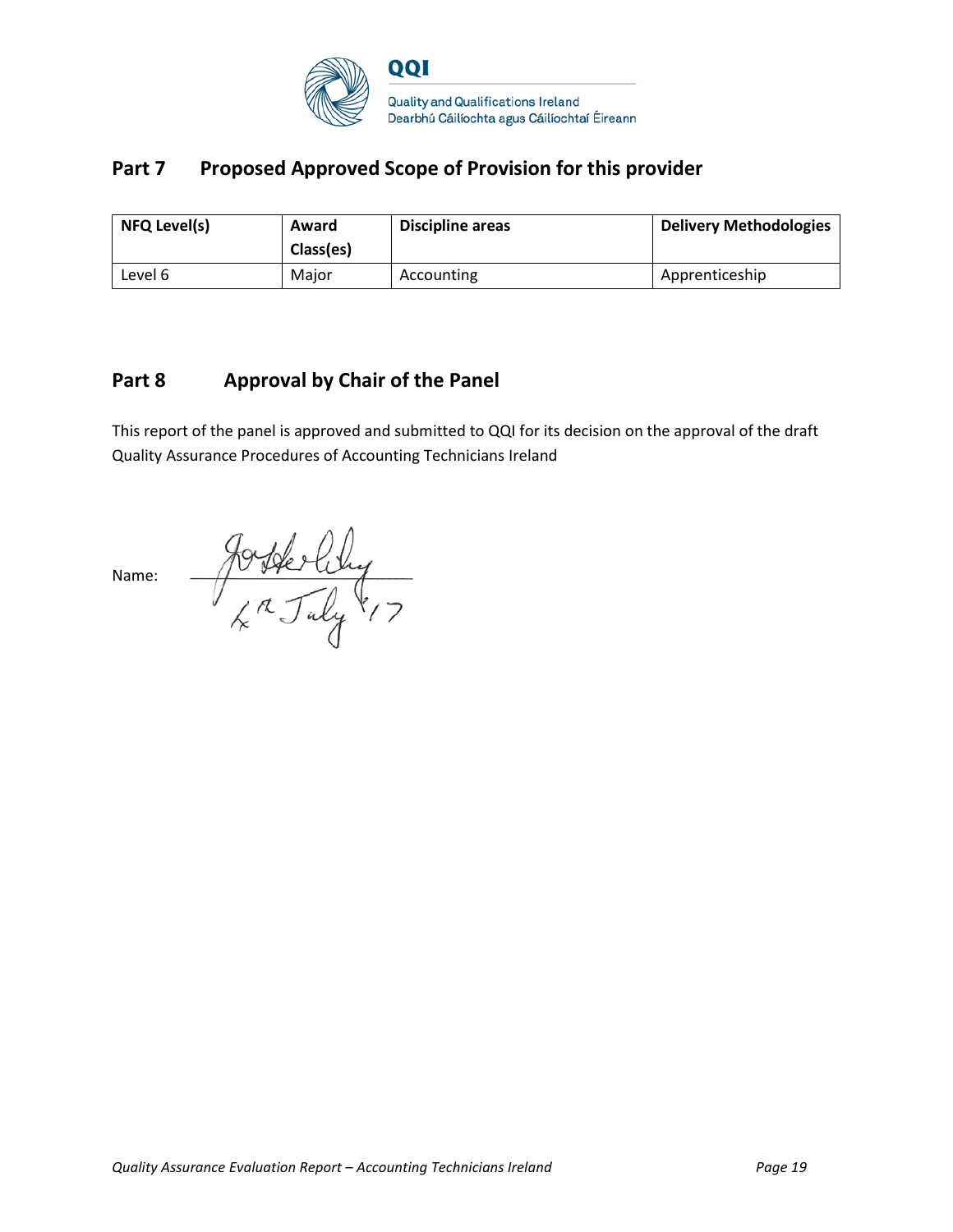

# Part 7 Proposed Approved Scope of Provision for this provider

| <b>NFQ Level(s)</b> | Award<br>Class(es) | Discipline areas | <b>Delivery Methodologies</b> |
|---------------------|--------------------|------------------|-------------------------------|
| Level 6             | Maior              | Accounting       | Apprenticeship                |

### **Part 8 Approval by Chair of the Panel**

This report of the panel is approved and submitted to QQI for its decision on the approval of the draft Quality Assurance Procedures of Accounting Technicians Ireland

Josterling<br>4th July 17 Name: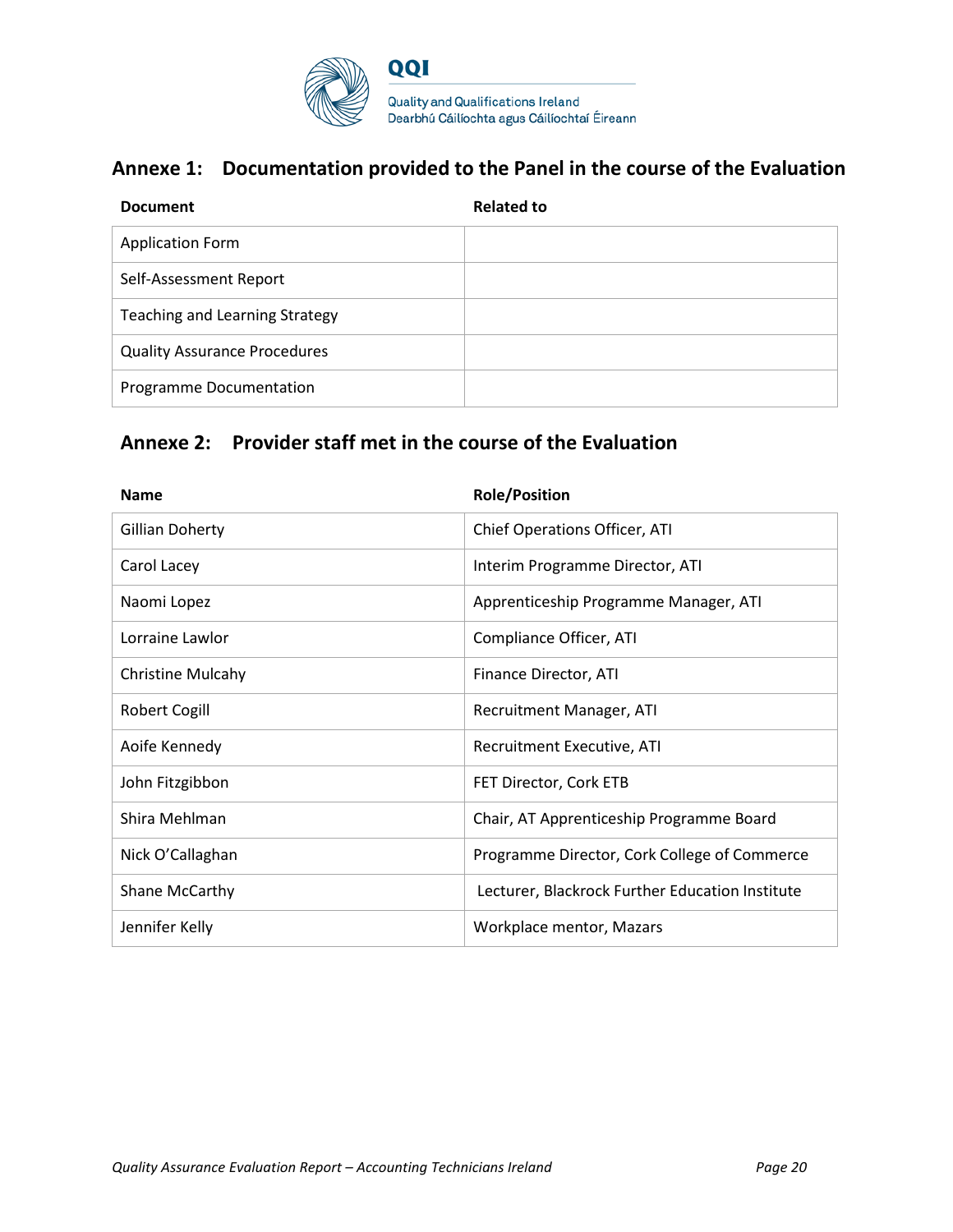

## **Annexe 1: Documentation provided to the Panel in the course of the Evaluation**

| <b>Document</b>                       | <b>Related to</b> |
|---------------------------------------|-------------------|
| <b>Application Form</b>               |                   |
| Self-Assessment Report                |                   |
| <b>Teaching and Learning Strategy</b> |                   |
| <b>Quality Assurance Procedures</b>   |                   |
| Programme Documentation               |                   |

## **Annexe 2: Provider staff met in the course of the Evaluation**

| <b>Name</b>              | <b>Role/Position</b>                            |
|--------------------------|-------------------------------------------------|
| <b>Gillian Doherty</b>   | Chief Operations Officer, ATI                   |
| Carol Lacey              | Interim Programme Director, ATI                 |
| Naomi Lopez              | Apprenticeship Programme Manager, ATI           |
| Lorraine Lawlor          | Compliance Officer, ATI                         |
| <b>Christine Mulcahy</b> | Finance Director, ATI                           |
| <b>Robert Cogill</b>     | Recruitment Manager, ATI                        |
| Aoife Kennedy            | Recruitment Executive, ATI                      |
| John Fitzgibbon          | FET Director, Cork ETB                          |
| Shira Mehlman            | Chair, AT Apprenticeship Programme Board        |
| Nick O'Callaghan         | Programme Director, Cork College of Commerce    |
| Shane McCarthy           | Lecturer, Blackrock Further Education Institute |
| Jennifer Kelly           | Workplace mentor, Mazars                        |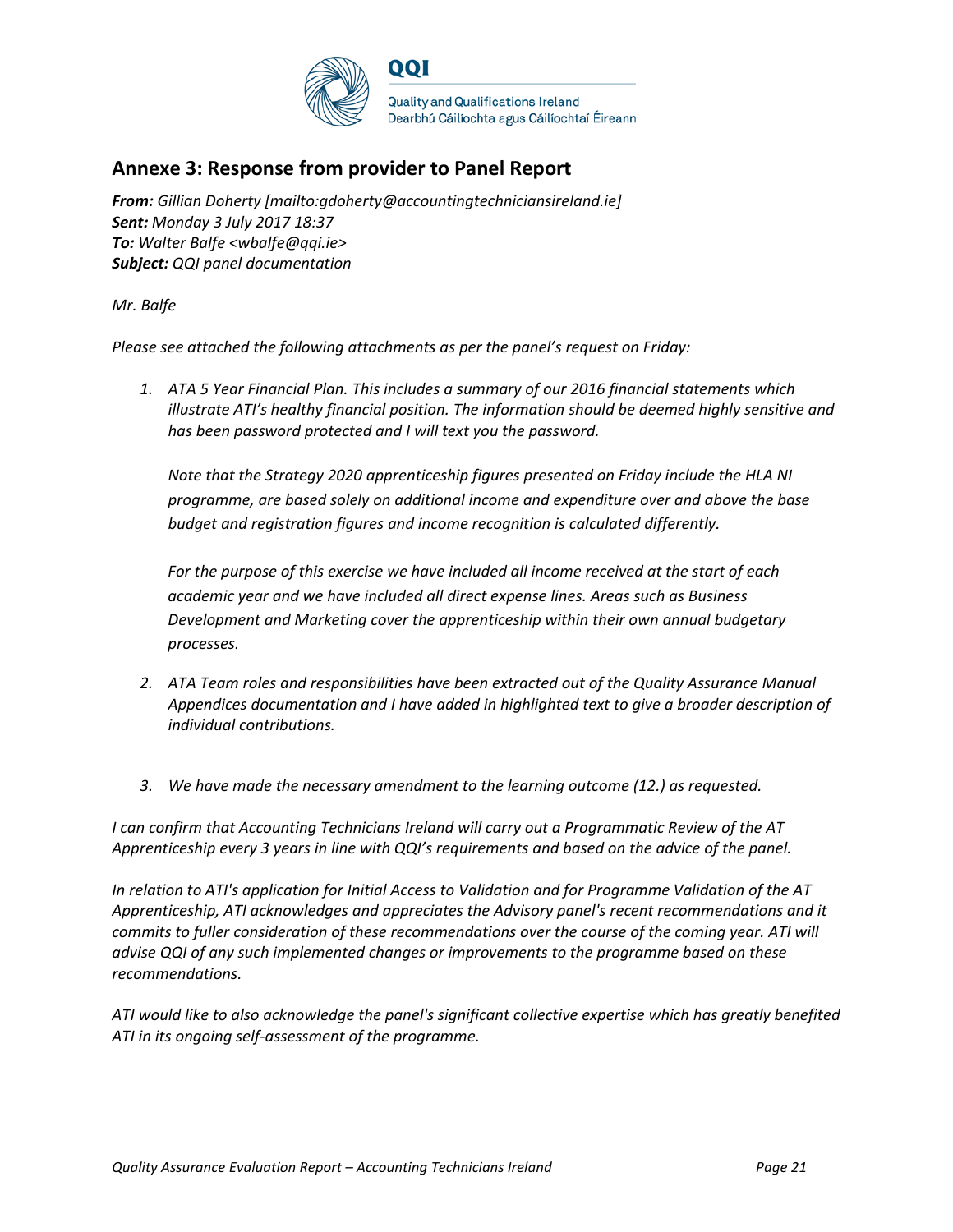

## **Annexe 3: Response from provider to Panel Report**

*From: Gillian Doherty [mailto:gdoherty@accountingtechniciansireland.ie] Sent: Monday 3 July 2017 18:37 To: Walter Balfe <wbalfe@qqi.ie> Subject: QQI panel documentation* 

*Mr. Balfe*

*Please see attached the following attachments as per the panel's request on Friday:*

*1. ATA 5 Year Financial Plan. This includes a summary of our 2016 financial statements which illustrate ATI's healthy financial position. The information should be deemed highly sensitive and has been password protected and I will text you the password.* 

*Note that the Strategy 2020 apprenticeship figures presented on Friday include the HLA NI programme, are based solely on additional income and expenditure over and above the base budget and registration figures and income recognition is calculated differently.* 

*For the purpose of this exercise we have included all income received at the start of each academic year and we have included all direct expense lines. Areas such as Business Development and Marketing cover the apprenticeship within their own annual budgetary processes.* 

- *2. ATA Team roles and responsibilities have been extracted out of the Quality Assurance Manual Appendices documentation and I have added in highlighted text to give a broader description of individual contributions.*
- *3. We have made the necessary amendment to the learning outcome (12.) as requested.*

*I can confirm that Accounting Technicians Ireland will carry out a Programmatic Review of the AT Apprenticeship every 3 years in line with QQI's requirements and based on the advice of the panel.*

*In relation to ATI's application for Initial Access to Validation and for Programme Validation of the AT Apprenticeship, ATI acknowledges and appreciates the Advisory panel's recent recommendations and it commits to fuller consideration of these recommendations over the course of the coming year. ATI will advise QQI of any such implemented changes or improvements to the programme based on these recommendations.* 

*ATI would like to also acknowledge the panel's significant collective expertise which has greatly benefited ATI in its ongoing self-assessment of the programme.*